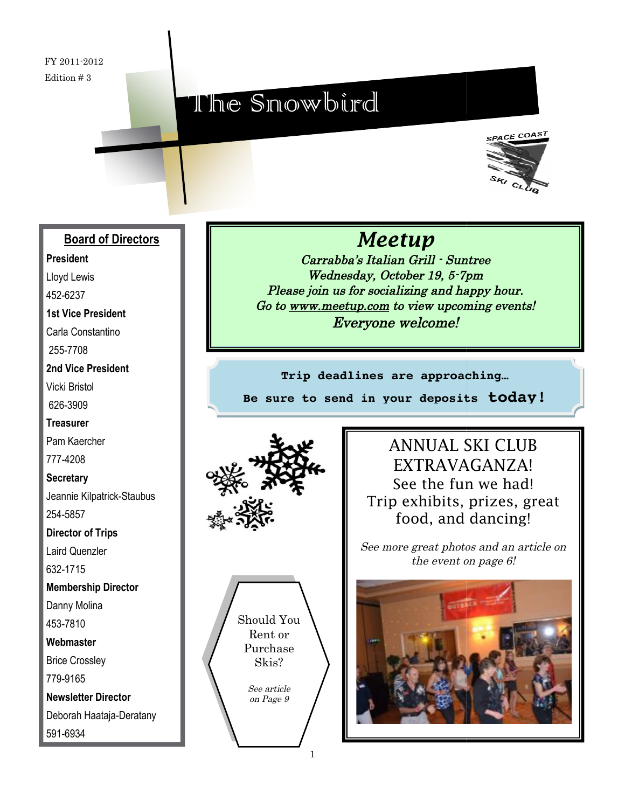FY 2011-2012 Edition # 3

# The Snowbird



#### **Board of Directors**

**President**

Lloyd Lewis

452-6237

#### **1st Vice President**

Carla Constantino 255-7708

**2nd Vice President** Vicki Bristol

626-3909

**Treasurer** Pam Kaercher

777-4208

**Secretary** Jeannie Kilpatrick-Staubus 254-5857

**Director of Trips**

Laird Quenzler

632-1715

**Membership Director**

Danny Molina

453-7810

**Webmaster**

Brice Crossley

779-9165

591-6934

**Newsletter Director** Deborah Haataja-Deratany *Meetup*

Carrabba's Italian Grill - Suntree Wednesday, October 19, 5-7pm Please join us for socializing and happy hour. Go to <u>[www.meetup.com](http://www.meetup.com/)</u> to view upcoming events! Everyone welcome!

**Trip deadlines are approaching… Be sure to send in your deposits**





See article on Page 9

ANNUAL SKI CLUB EXTRAVAGANZA! See the fun we had! EXTRAVAGANZA!<br>See the fun we had!<br>Trip exhibits, prizes, great food, and dancing! to send in your deposits today!<br> **PARTICUSE ANNUAL SKI CLUB**<br>
EXTRAVAGANZA!<br>
See the fun we had!<br>
Trip exhibits, prizes, gre<br>
food, and dancing!<br>
See more great photos and an article<br>
the event on page 6!

See more great photos and an article on the event on page 6!

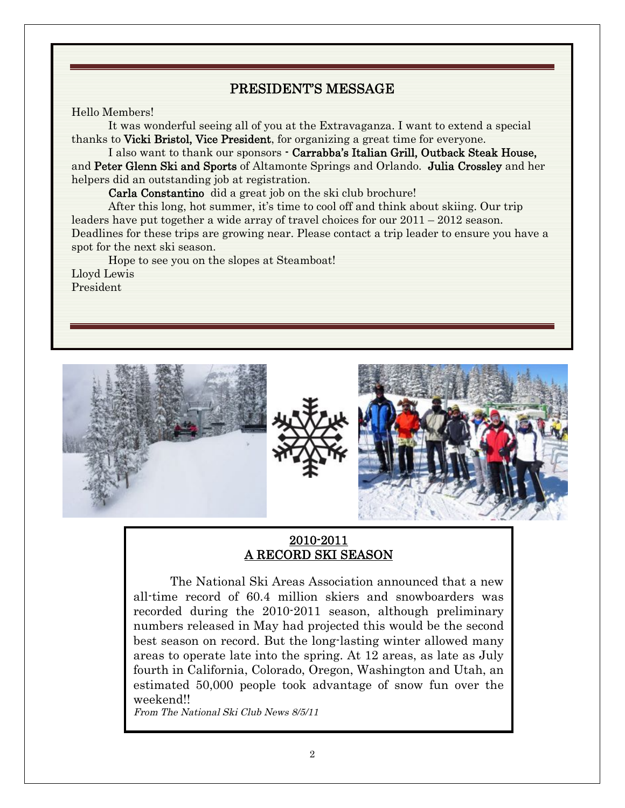### PRESIDENT'S MESSAGE

#### Hello Members!

It was wonderful seeing all of you at the Extravaganza. I want to extend a special thanks to Vicki Bristol, Vice President, for organizing a great time for everyone.

I also want to thank our sponsors - Carrabba's Italian Grill, Outback Steak House, and Peter Glenn Ski and Sports of Altamonte Springs and Orlando. Julia Crossley and her helpers did an outstanding job at registration.

Carla Constantino did a great job on the ski club brochure!

After this long, hot summer, it's time to cool off and think about skiing. Our trip leaders have put together a wide array of travel choices for our 2011 – 2012 season. Deadlines for these trips are growing near. Please contact a trip leader to ensure you have a spot for the next ski season.

Hope to see you on the slopes at Steamboat!

Lloyd Lewis President



#### 2010-2011 A RECORD SKI SEASON

The National Ski Areas Association announced that a new all-time record of 60.4 million skiers and snowboarders was recorded during the 2010-2011 season, although preliminary numbers released in May had projected this would be the second best season on record. But the long-lasting winter allowed many areas to operate late into the spring. At 12 areas, as late as July fourth in California, Colorado, Oregon, Washington and Utah, an estimated 50,000 people took advantage of snow fun over the weekend!!

From The National Ski Club News 8/5/11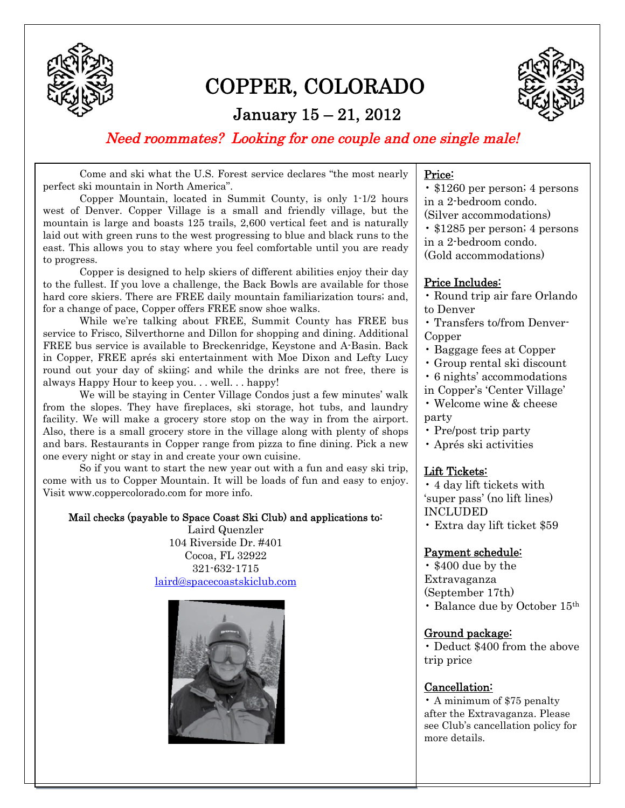

## COPPER, COLORADO

### January 15 – 21, 2012



Need roommates? Looking for one couple and one single male!

Come and ski what the U.S. Forest service declares "the most nearly perfect ski mountain in North America".

Copper Mountain, located in Summit County, is only 1-1/2 hours west of Denver. Copper Village is a small and friendly village, but the mountain is large and boasts 125 trails, 2,600 vertical feet and is naturally laid out with green runs to the west progressing to blue and black runs to the east. This allows you to stay where you feel comfortable until you are ready to progress.

Copper is designed to help skiers of different abilities enjoy their day to the fullest. If you love a challenge, the Back Bowls are available for those hard core skiers. There are FREE daily mountain familiarization tours; and, for a change of pace, Copper offers FREE snow shoe walks.

While we're talking about FREE, Summit County has FREE bus service to Frisco, Silverthorne and Dillon for shopping and dining. Additional FREE bus service is available to Breckenridge, Keystone and A-Basin. Back in Copper, FREE aprés ski entertainment with Moe Dixon and Lefty Lucy round out your day of skiing; and while the drinks are not free, there is always Happy Hour to keep you. . . well. . . happy!

We will be staying in Center Village Condos just a few minutes' walk from the slopes. They have fireplaces, ski storage, hot tubs, and laundry facility. We will make a grocery store stop on the way in from the airport. Also, there is a small grocery store in the village along with plenty of shops and bars. Restaurants in Copper range from pizza to fine dining. Pick a new one every night or stay in and create your own cuisine.

So if you want to start the new year out with a fun and easy ski trip, come with us to Copper Mountain. It will be loads of fun and easy to enjoy. Visit www.coppercolorado.com for more info.

#### Mail checks (payable to Space Coast Ski Club) and applications to:

Laird Quenzler 104 Riverside Dr. #401 Cocoa, FL 32922 321-632-1715 [laird@spacecoastskiclub.com](mailto:laird@spacecoastskiclub.com)



#### Price:

• \$1260 per person; 4 persons in a 2-bedroom condo.

(Silver accommodations)

• \$1285 per person; 4 persons in a 2-bedroom condo.

(Gold accommodations)

#### Price Includes:

- Round trip air fare Orlando to Denver
- Transfers to/from Denver-Copper
- Baggage fees at Copper
- Group rental ski discount
- 6 nights' accommodations

#### in Copper's 'Center Village'

- Welcome wine & cheese party
- Pre/post trip party
- Aprés ski activities

#### Lift Tickets:

• 4 day lift tickets with 'super pass' (no lift lines) INCLUDED

• Extra day lift ticket \$59

#### Payment schedule:

• \$400 due by the Extravaganza (September 17th) • Balance due by October 15th

#### Ground package:

• Deduct \$400 from the above trip price

#### Cancellation:

• A minimum of \$75 penalty after the Extravaganza. Please see Club's cancellation policy for more details.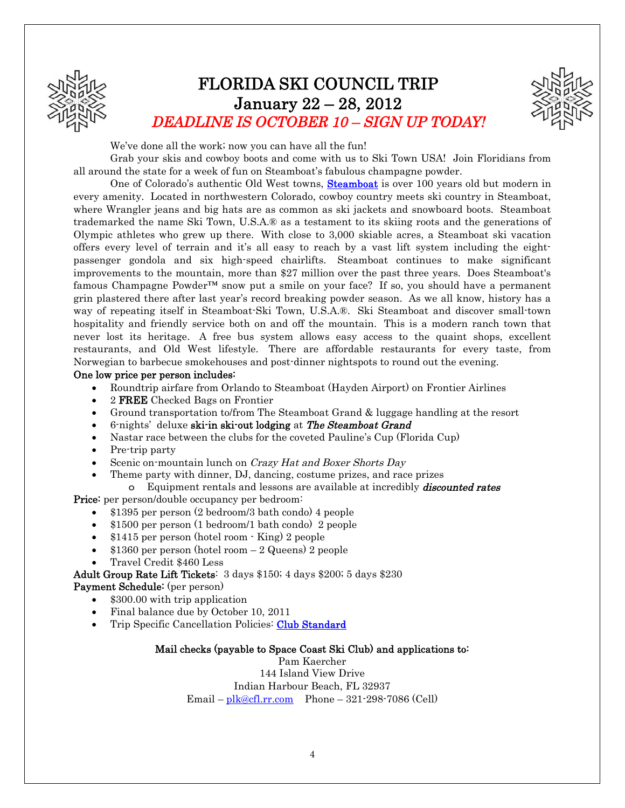

## FLORIDA SKI COUNCIL TRIP January 22 – 28, 2012 DEADLINE IS OCTOBER 10 – SIGN UP TODAY!



We've done all the work; now you can have all the fun!

Grab your skis and cowboy boots and come with us to Ski Town USA! Join Floridians from all around the state for a week of fun on Steamboat's fabulous champagne powder.

One of Colorado's authentic Old West towns, **Steamboat** is over 100 years old but modern in every amenity. Located in northwestern Colorado, cowboy country meets ski country in Steamboat, where Wrangler jeans and big hats are as common as ski jackets and snowboard boots. Steamboat trademarked the name Ski Town, U.S.A.® as a testament to its skiing roots and the generations of Olympic athletes who grew up there. With close to 3,000 skiable acres, a Steamboat ski vacation offers every level of terrain and it's all easy to reach by a vast lift system including the eightpassenger gondola and six high-speed chairlifts. Steamboat continues to make significant improvements to the mountain, more than \$27 million over the past three years. Does Steamboat's famous Champagne Powder<sup>TM</sup> snow put a smile on your face? If so, you should have a permanent grin plastered there after last year's record breaking powder season. As we all know, history has a way of repeating itself in Steamboat-Ski Town, U.S.A.®. Ski Steamboat and discover small-town hospitality and friendly service both on and off the mountain. This is a modern ranch town that never lost its heritage. A free bus system allows easy access to the quaint shops, excellent restaurants, and Old West lifestyle. There are affordable restaurants for every taste, from Norwegian to barbecue smokehouses and post-dinner nightspots to round out the evening.

#### One low price per person includes:

- x Roundtrip airfare from Orlando to Steamboat (Hayden Airport) on Frontier Airlines
- 2 **FREE** Checked Bags on Frontier
- Ground transportation to/from The Steamboat Grand & luggage handling at the resort
- 6-nights' deluxe ski-in ski-out lodging at The Steamboat Grand
- Nastar race between the clubs for the coveted Pauline's Cup (Florida Cup)
- Pre-trip party
- Scenic on-mountain lunch on Crazy Hat and Boxer Shorts Day
- Theme party with dinner, DJ, dancing, costume prizes, and race prizes
- o Equipment rentals and lessons are available at incredibly **discounted rates** Price: per person/double occupancy per bedroom:
	- x \$1395 per person (2 bedroom/3 bath condo) 4 people
	- x \$1500 per person (1 bedroom/1 bath condo) 2 people
	- $\bullet$  \$1415 per person (hotel room  $\cdot$  King) 2 people
	- $$1360$  per person (hotel room  $-2$  Queens) 2 people
	- x Travel Credit \$460 Less

Adult Group Rate Lift Tickets: 3 days \$150; 4 days \$200; 5 days \$230 Payment Schedule: (per person)

- x \$300.00 with trip application
- Final balance due by October 10, 2011
- Trip Specific Cancellation Policies: Club Standard

#### Mail checks (payable to Space Coast Ski Club) and applications to:

Pam Kaercher 144 Island View Drive Indian Harbour Beach, FL 32937 Email –  $plk@cf.l.rr.com$  Phone – 321-298-7086 (Cell)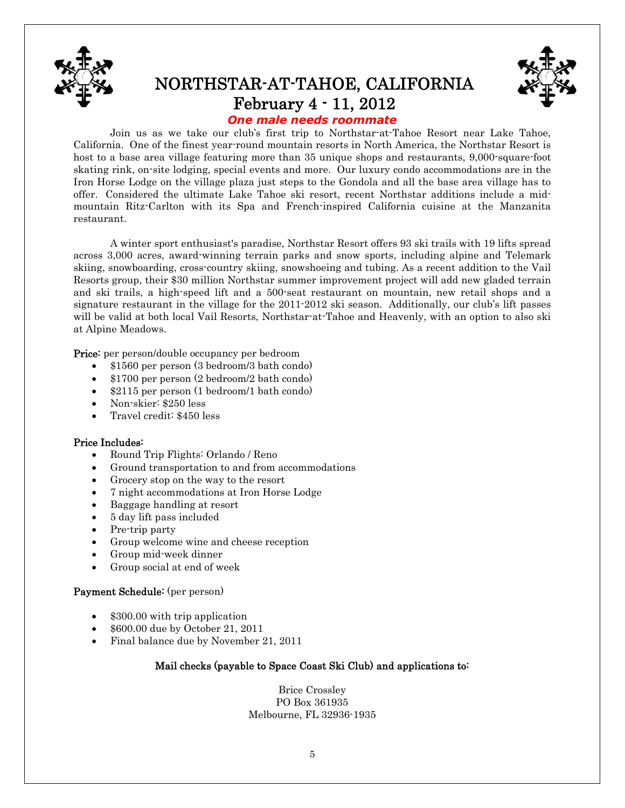

## NORTHSTAR-AT-TAHOE, CALIFORNIA February 4 - 11, 2012



#### *One male needs roommate*

Join us as we take our club's first trip to Northstar-at-Tahoe Resort near Lake Tahoe, California. One of the finest year-round mountain resorts in North America, the Northstar Resort is host to a base area village featuring more than 35 unique shops and restaurants, 9,000-square-foot skating rink, on-site lodging, special events and more. Our luxury condo accommodations are in the Iron Horse Lodge on the village plaza just steps to the Gondola and all the base area village has to offer. Considered the ultimate Lake Tahoe ski resort, recent Northstar additions include a midmountain Ritz-Carlton with its Spa and French-inspired California cuisine at the Manzanita restaurant.

A winter sport enthusiast's paradise, Northstar Resort offers 93 ski trails with 19 lifts spread across 3,000 acres, award-winning terrain parks and snow sports, including alpine and Telemark skiing, snowboarding, cross-country skiing, snowshoeing and tubing. As a recent addition to the Vail Resorts group, their \$30 million Northstar summer improvement project will add new gladed terrain and ski trails, a high-speed lift and a 500-seat restaurant on mountain, new retail shops and a signature restaurant in the village for the 2011-2012 ski season. Additionally, our club's lift passes will be valid at both local Vail Resorts, Northstar-at-Tahoe and Heavenly, with an option to also ski at Alpine Meadows.

Price: per person/double occupancy per bedroom

- x \$1560 per person (3 bedroom/3 bath condo)
- $\bullet$  \$1700 per person (2 bedroom/2 bath condo)
- x \$2115 per person (1 bedroom/1 bath condo)
- x Non-skier: \$250 less
- x Travel credit: \$450 less

#### Price Includes:

- x Round Trip Flights: Orlando / Reno
- Ground transportation to and from accommodations
- Grocery stop on the way to the resort
- x 7 night accommodations at Iron Horse Lodge
- x Baggage handling at resort
- x 5 day lift pass included
- Pre-trip party
- Group welcome wine and cheese reception
- Group mid-week dinner
- Group social at end of week

#### Payment Schedule: (per person)

- \$300.00 with trip application
- x \$600.00 due by October 21, 2011
- Final balance due by November 21, 2011

#### Mail checks (payable to Space Coast Ski Club) and applications to:

Brice Crossley PO Box 361935 Melbourne, FL 32936-1935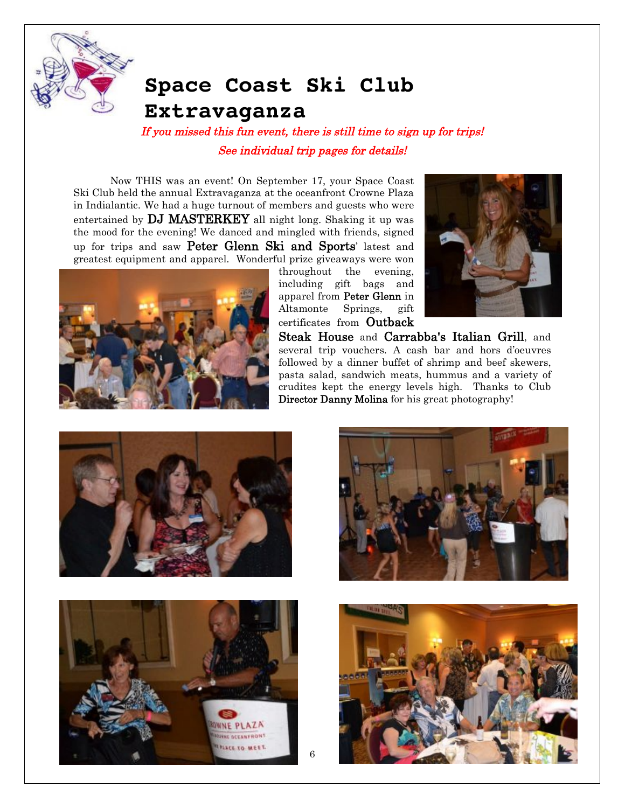

## **Space Coast Ski Club Extravaganza**

If you missed this fun event, there is still time to sign up for trips! See individual trip pages for details!

Now THIS was an event! On September 17, your Space Coast Ski Club held the annual Extravaganza at the oceanfront Crowne Plaza in Indialantic. We had a huge turnout of members and guests who were entertained by DJ MASTERKEY all night long. Shaking it up was the mood for the evening! We danced and mingled with friends, signed up for trips and saw Peter Glenn Ski and Sports' latest and greatest equipment and apparel. Wonderful prize giveaways were won



throughout the evening, including gift bags and apparel from Peter Glenn in Altamonte Springs, gift certificates from Outback



Steak House and Carrabba's Italian Grill, and several trip vouchers. A cash bar and hors d'oeuvres followed by a dinner buffet of shrimp and beef skewers, pasta salad, sandwich meats, hummus and a variety of crudites kept the energy levels high. Thanks to Club Director Danny Molina for his great photography!







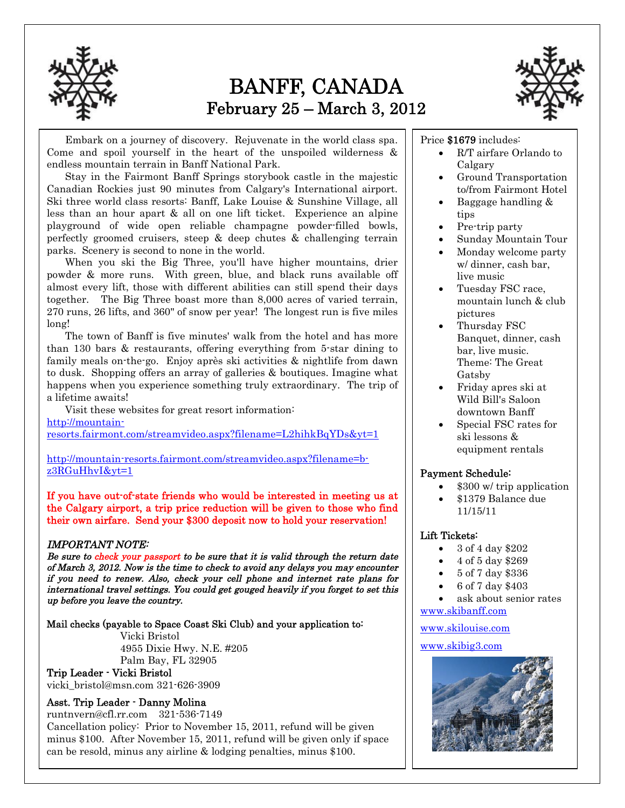

## BANFF, CANADA February 25 – March 3, 2012



Embark on a journey of discovery. Rejuvenate in the world class spa. Come and spoil yourself in the heart of the unspoiled wilderness & endless mountain terrain in Banff National Park.

Stay in the Fairmont Banff Springs storybook castle in the majestic Canadian Rockies just 90 minutes from Calgary's International airport. Ski three world class resorts: Banff, Lake Louise & Sunshine Village, all less than an hour apart & all on one lift ticket. Experience an alpine playground of wide open reliable champagne powder-filled bowls, perfectly groomed cruisers, steep & deep chutes & challenging terrain parks. Scenery is second to none in the world.

When you ski the Big Three, you'll have higher mountains, drier powder & more runs. With green, blue, and black runs available off almost every lift, those with different abilities can still spend their days together. The Big Three boast more than 8,000 acres of varied terrain, 270 runs, 26 lifts, and 360" of snow per year! The longest run is five miles long!

The town of Banff is five minutes' walk from the hotel and has more than 130 bars & restaurants, offering everything from 5-star dining to family meals on-the-go. Enjoy après ski activities & nightlife from dawn to dusk. Shopping offers an array of galleries & boutiques. Imagine what happens when you experience something truly extraordinary. The trip of a lifetime awaits!

Visit these websites for great resort information: [http://mountain](http://mountain-resorts.fairmont.com/streamvideo.aspx?filename=L2hihkBqYDs&yt=1)[resorts.fairmont.com/streamvideo.aspx?filename=L2hihkBqYDs&yt=1](http://mountain-resorts.fairmont.com/streamvideo.aspx?filename=L2hihkBqYDs&yt=1)

[http://mountain-resorts.fairmont.com/streamvideo.aspx?filename=b](http://mountain-resorts.fairmont.com/streamvideo.aspx?filename=b-z3RGuHhvI&yt=1)[z3RGuHhvI&yt=1](http://mountain-resorts.fairmont.com/streamvideo.aspx?filename=b-z3RGuHhvI&yt=1)

If you have out-of-state friends who would be interested in meeting us at the Calgary airport, a trip price reduction will be given to those who find their own airfare. Send your \$300 deposit now to hold your reservation!

#### IMPORTANT NOTE:

Be sure to check your passport to be sure that it is valid through the return date of March 3, 2012. Now is the time to check to avoid any delays you may encounter if you need to renew. Also, check your cell phone and internet rate plans for international travel settings. You could get gouged heavily if you forget to set this up before you leave the country.

Mail checks (payable to Space Coast Ski Club) and your application to:

Vicki Bristol 4955 Dixie Hwy. N.E. #205 Palm Bay, FL 32905

#### Trip Leader - Vicki Bristol

vicki\_bristol@msn.com 321-626-3909

#### Asst. Trip Leader - Danny Molina

runtnvern@cfl.rr.com 321-536-7149

7 can be resold, minus any airline & lodging penalties, minus \$100.Cancellation policy: Prior to November 15, 2011, refund will be given minus \$100. After November 15, 2011, refund will be given only if space

#### Price \$1679 includes:

- R/T airfare Orlando to Calgary
- Ground Transportation to/from Fairmont Hotel
- x Baggage handling & tips
- Pre-trip party
- x Sunday Mountain Tour
- Monday welcome party w/ dinner, cash bar, live music
- Tuesday FSC race. mountain lunch & club pictures
- Thursday FSC Banquet, dinner, cash bar, live music. Theme: The Great Gatsby
- x Friday apres ski at Wild Bill's Saloon downtown Banff
- Special FSC rates for ski lessons & equipment rentals

#### Payment Schedule:

- \$300 w/ trip application
- x \$1379 Balance due 11/15/11

#### Lift Tickets:

- x 3 of 4 day \$202
- x 4 of 5 day \$269
- x 5 of 7 day \$336
- x 6 of 7 day \$403
- ask about senior rates [www.skibanff.com](http://www.skibanff.com/)

#### [www.skilouise.com](http://www.skilouise.com/)

[www.skibig3.com](http://www.skibig3.com/)

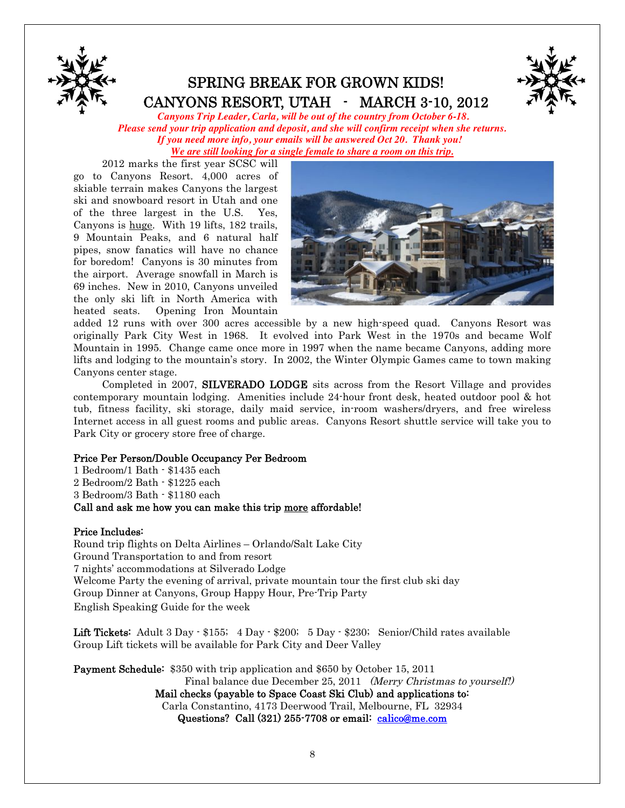

## SPRING BREAK FOR GROWN KIDS! CANYONS RESORT, UTAH - MARCH 3-10, 2012



*Canyons Trip Leader, Carla, will be out of the country from October 6-18. Please send your trip application and deposit, and she will confirm receipt when she returns. If you need more info, your emails will be answered Oct 20. Thank you! We are still looking for a single female to share a room on this trip.*

2012 marks the first year SCSC will go to Canyons Resort. 4,000 acres of skiable terrain makes Canyons the largest ski and snowboard resort in Utah and one of the three largest in the U.S. Yes, Canyons is huge. With 19 lifts, 182 trails, 9 Mountain Peaks, and 6 natural half pipes, snow fanatics will have no chance for boredom! Canyons is 30 minutes from the airport. Average snowfall in March is 69 inches. New in 2010, Canyons unveiled the only ski lift in North America with heated seats. Opening Iron Mountain



added 12 runs with over 300 acres accessible by a new high-speed quad. Canyons Resort was originally Park City West in 1968. It evolved into Park West in the 1970s and became Wolf Mountain in 1995. Change came once more in 1997 when the name became Canyons, adding more lifts and lodging to the mountain's story. In 2002, the Winter Olympic Games came to town making Canyons center stage.

Completed in 2007, SILVERADO LODGE sits across from the Resort Village and provides contemporary mountain lodging. Amenities include 24-hour front desk, heated outdoor pool & hot tub, fitness facility, ski storage, daily maid service, in-room washers/dryers, and free wireless Internet access in all guest rooms and public areas. Canyons Resort shuttle service will take you to Park City or grocery store free of charge.

#### Price Per Person/Double Occupancy Per Bedroom

1 Bedroom/1 Bath - \$1435 each 2 Bedroom/2 Bath - \$1225 each 3 Bedroom/3 Bath - \$1180 each Call and ask me how you can make this trip more affordable!

#### Price Includes:

Round trip flights on Delta Airlines – Orlando/Salt Lake City Ground Transportation to and from resort 7 nights' accommodations at Silverado Lodge Welcome Party the evening of arrival, private mountain tour the first club ski day Group Dinner at Canyons, Group Happy Hour, Pre-Trip Party English Speaking Guide for the week

Lift Tickets: Adult 3 Day - \$155; 4 Day - \$200; 5 Day - \$230; Senior/Child rates available Group Lift tickets will be available for Park City and Deer Valley

Payment Schedule: \$350 with trip application and \$650 by October 15, 2011 Final balance due December 25, 2011 (Merry Christmas to yourself!) Mail checks (payable to Space Coast Ski Club) and applications to: Carla Constantino, 4173 Deerwood Trail, Melbourne, FL 32934 Questions? Call (321) 255-7708 or email: calico@me.com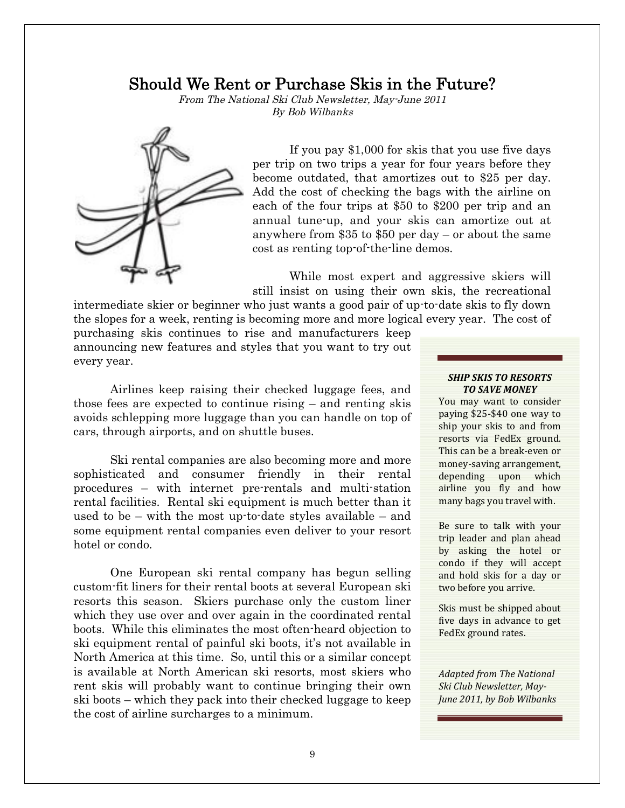### Should We Rent or Purchase Skis in the Future?

From The National Ski Club Newsletter, May-June 2011 By Bob Wilbanks



If you pay \$1,000 for skis that you use five days per trip on two trips a year for four years before they become outdated, that amortizes out to \$25 per day. Add the cost of checking the bags with the airline on each of the four trips at \$50 to \$200 per trip and an annual tune-up, and your skis can amortize out at anywhere from \$35 to \$50 per day – or about the same cost as renting top-of-the-line demos.

While most expert and aggressive skiers will still insist on using their own skis, the recreational

intermediate skier or beginner who just wants a good pair of up-to-date skis to fly down the slopes for a week, renting is becoming more and more logical every year. The cost of

purchasing skis continues to rise and manufacturers keep announcing new features and styles that you want to try out every year.

Airlines keep raising their checked luggage fees, and those fees are expected to continue rising – and renting skis avoids schlepping more luggage than you can handle on top of cars, through airports, and on shuttle buses.

Ski rental companies are also becoming more and more sophisticated and consumer friendly in their rental procedures – with internet pre-rentals and multi-station rental facilities. Rental ski equipment is much better than it used to be – with the most up-to-date styles available – and some equipment rental companies even deliver to your resort hotel or condo.

One European ski rental company has begun selling custom-fit liners for their rental boots at several European ski resorts this season. Skiers purchase only the custom liner which they use over and over again in the coordinated rental boots. While this eliminates the most often-heard objection to ski equipment rental of painful ski boots, it's not available in North America at this time. So, until this or a similar concept is available at North American ski resorts, most skiers who rent skis will probably want to continue bringing their own ski boots – which they pack into their checked luggage to keep the cost of airline surcharges to a minimum.

#### *SHIP SKIS TO RESORTS TO SAVE MONEY*

You may want to consider paying \$25-\$40 one way to ship your skis to and from resorts via FedEx ground. This can be a break-even or money-saving arrangement, depending upon which airline you fly and how many bags you travel with.

Be sure to talk with your trip leader and plan ahead by asking the hotel or condo if they will accept and hold skis for a day or two before you arrive.

Skis must be shipped about five days in advance to get FedEx ground rates.

*Adapted from The National Ski Club Newsletter, May-June 2011, by Bob Wilbanks*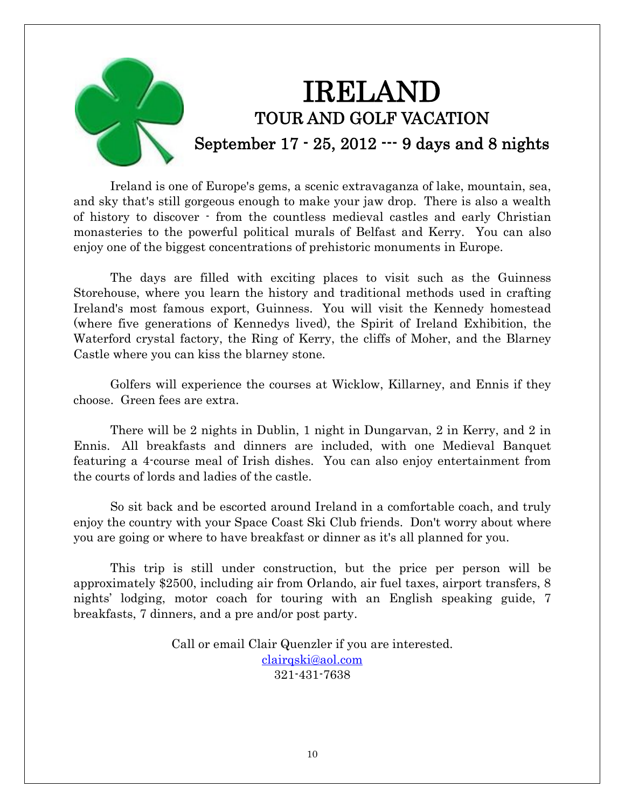

Ireland is one of Europe's gems, a scenic extravaganza of lake, mountain, sea, and sky that's still gorgeous enough to make your jaw drop. There is also a wealth of history to discover - from the countless medieval castles and early Christian monasteries to the powerful political murals of Belfast and Kerry. You can also enjoy one of the biggest concentrations of prehistoric monuments in Europe.

The days are filled with exciting places to visit such as the Guinness Storehouse, where you learn the history and traditional methods used in crafting Ireland's most famous export, Guinness. You will visit the Kennedy homestead (where five generations of Kennedys lived), the Spirit of Ireland Exhibition, the Waterford crystal factory, the Ring of Kerry, the cliffs of Moher, and the Blarney Castle where you can kiss the blarney stone.

Golfers will experience the courses at Wicklow, Killarney, and Ennis if they choose. Green fees are extra.

There will be 2 nights in Dublin, 1 night in Dungarvan, 2 in Kerry, and 2 in Ennis. All breakfasts and dinners are included, with one Medieval Banquet featuring a 4-course meal of Irish dishes. You can also enjoy entertainment from the courts of lords and ladies of the castle.

So sit back and be escorted around Ireland in a comfortable coach, and truly enjoy the country with your Space Coast Ski Club friends. Don't worry about where you are going or where to have breakfast or dinner as it's all planned for you.

This trip is still under construction, but the price per person will be approximately \$2500, including air from Orlando, air fuel taxes, airport transfers, 8 nights' lodging, motor coach for touring with an English speaking guide, 7 breakfasts, 7 dinners, and a pre and/or post party.

> Call or email Clair Quenzler if you are interested. clairqski@aol.com 321-431-7638